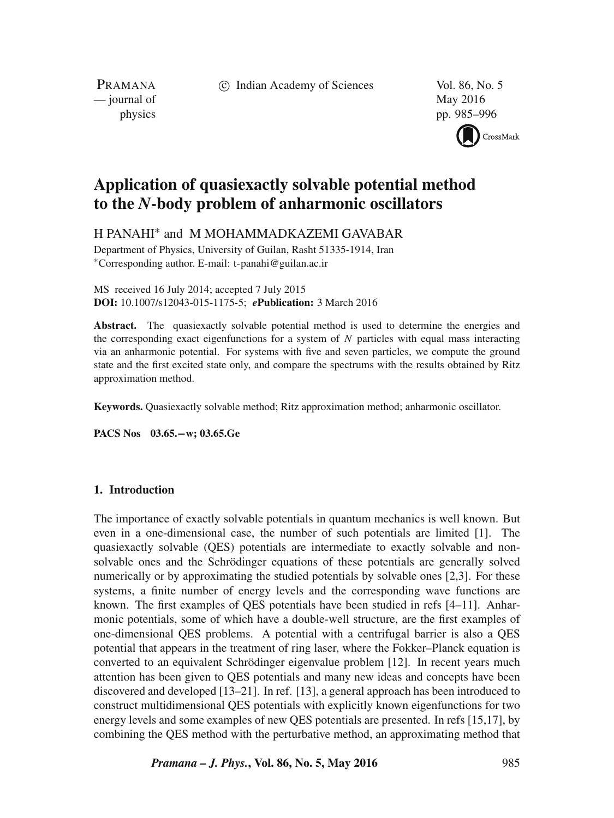c Indian Academy of Sciences Vol. 86, No. 5

PRAMANA — journal of May 2016

physics pp. 985–996



# **Application of quasiexactly solvable potential method to the** *N***-body problem of anharmonic oscillators**

H PANAHI∗ and M MOHAMMADKAZEMI GAVABAR

Department of Physics, University of Guilan, Rasht 51335-1914, Iran ∗Corresponding author. E-mail: t-panahi@guilan.ac.ir

MS received 16 July 2014; accepted 7 July 2015 **DOI:** 10.1007/s12043-015-1175-5; *e***Publication:** 3 March 2016

**Abstract.** The quasiexactly solvable potential method is used to determine the energies and the corresponding exact eigenfunctions for a system of  $N$  particles with equal mass interacting via an anharmonic potential. For systems with five and seven particles, we compute the ground state and the first excited state only, and compare the spectrums with the results obtained by Ritz approximation method.

**Keywords.** Quasiexactly solvable method; Ritz approximation method; anharmonic oscillator.

**PACS Nos 03.65.−w; 03.65.Ge**

# **1. Introduction**

The importance of exactly solvable potentials in quantum mechanics is well known. But even in a one-dimensional case, the number of such potentials are limited [1]. The quasiexactly solvable (QES) potentials are intermediate to exactly solvable and nonsolvable ones and the Schrödinger equations of these potentials are generally solved numerically or by approximating the studied potentials by solvable ones [2,3]. For these systems, a finite number of energy levels and the corresponding wave functions are known. The first examples of QES potentials have been studied in refs [4–11]. Anharmonic potentials, some of which have a double-well structure, are the first examples of one-dimensional QES problems. A potential with a centrifugal barrier is also a QES potential that appears in the treatment of ring laser, where the Fokker–Planck equation is converted to an equivalent Schrödinger eigenvalue problem [12]. In recent years much attention has been given to QES potentials and many new ideas and concepts have been discovered and developed [13–21]. In ref. [13], a general approach has been introduced to construct multidimensional QES potentials with explicitly known eigenfunctions for two energy levels and some examples of new QES potentials are presented. In refs [15,17], by combining the QES method with the perturbative method, an approximating method that

*Pramana – J. Phys.***, Vol. 86, No. 5, May 2016** 985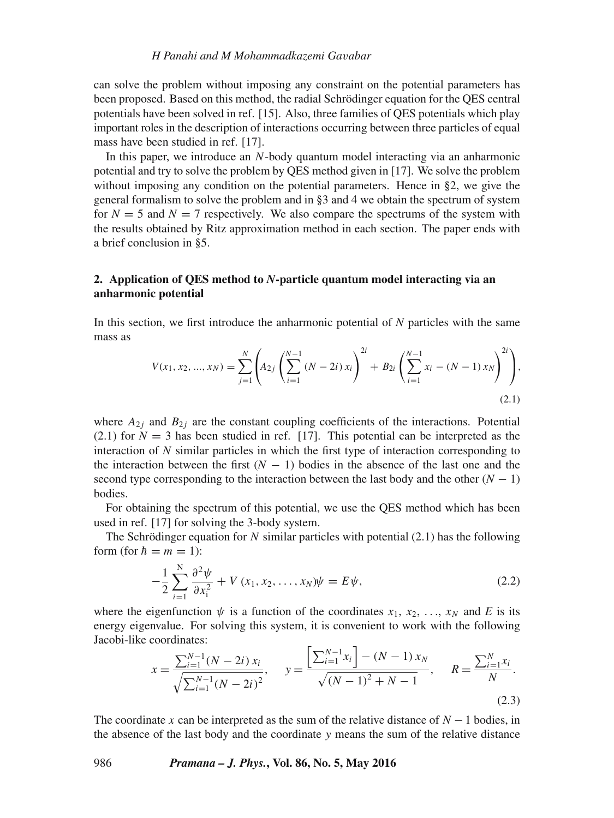can solve the problem without imposing any constraint on the potential parameters has been proposed. Based on this method, the radial Schrödinger equation for the QES central potentials have been solved in ref. [15]. Also, three families of QES potentials which play important roles in the description of interactions occurring between three particles of equal mass have been studied in ref. [17].

In this paper, we introduce an N-body quantum model interacting via an anharmonic potential and try to solve the problem by QES method given in [17]. We solve the problem without imposing any condition on the potential parameters. Hence in §2, we give the general formalism to solve the problem and in §3 and 4 we obtain the spectrum of system for  $N = 5$  and  $N = 7$  respectively. We also compare the spectrums of the system with the results obtained by Ritz approximation method in each section. The paper ends with a brief conclusion in §5.

# **2. Application of QES method to** *N***-particle quantum model interacting via an anharmonic potential**

In this section, we first introduce the anharmonic potential of *N* particles with the same mass as

$$
V(x_1, x_2, ..., x_N) = \sum_{j=1}^{N} \left( A_{2j} \left( \sum_{i=1}^{N-1} (N - 2i) x_i \right)^{2i} + B_{2i} \left( \sum_{i=1}^{N-1} x_i - (N - 1) x_N \right)^{2i} \right),
$$
\n(2.1)

where  $A_{2i}$  and  $B_{2i}$  are the constant coupling coefficients of the interactions. Potential  $(2.1)$  for  $N = 3$  has been studied in ref. [17]. This potential can be interpreted as the interaction of *N* similar particles in which the first type of interaction corresponding to the interaction between the first  $(N - 1)$  bodies in the absence of the last one and the second type corresponding to the interaction between the last body and the other  $(N - 1)$ bodies.

For obtaining the spectrum of this potential, we use the QES method which has been used in ref. [17] for solving the 3-body system.

The Schrödinger equation for N similar particles with potential  $(2.1)$  has the following form (for  $h = m = 1$ ):

$$
-\frac{1}{2}\sum_{i=1}^{N}\frac{\partial^2\psi}{\partial x_i^2} + V(x_1, x_2, \dots, x_N)\psi = E\psi,
$$
\n(2.2)

where the eigenfunction  $\psi$  is a function of the coordinates  $x_1, x_2, ..., x_N$  and *E* is its energy eigenvalue. For solving this system it is convenient to work with the following energy eigenvalue. For solving this system, it is convenient to work with the following Jacobi-like coordinates:

$$
x = \frac{\sum_{i=1}^{N-1} (N-2i) x_i}{\sqrt{\sum_{i=1}^{N-1} (N-2i)^2}}, \quad y = \frac{\left[\sum_{i=1}^{N-1} x_i\right] - (N-1) x_N}{\sqrt{(N-1)^2 + N - 1}}, \quad R = \frac{\sum_{i=1}^{N} x_i}{N}.
$$
\n(2.3)

The coordinate x can be interpreted as the sum of the relative distance of  $N - 1$  bodies, in the absence of the last body and the coordinate  $y$  means the sum of the relative distance

986 *Pramana – J. Phys.***, Vol. 86, No. 5, May 2016**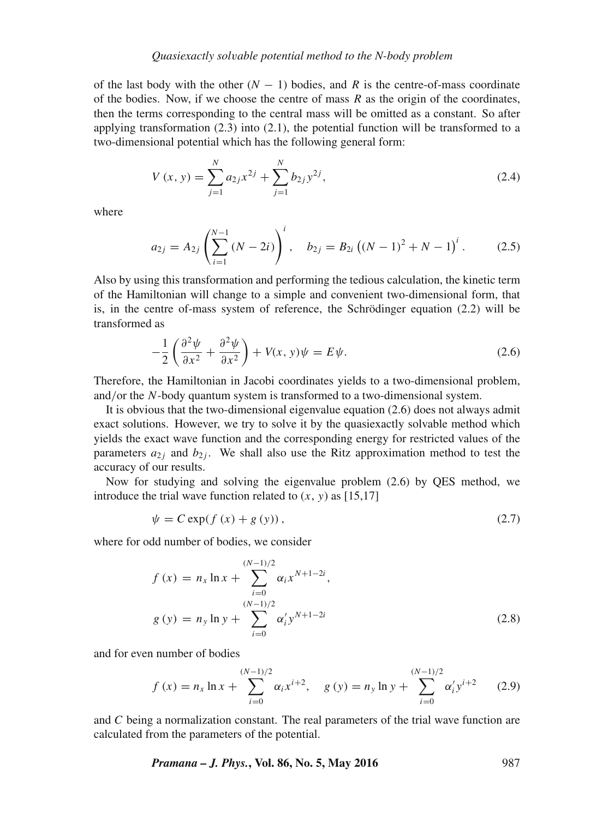of the last body with the other  $(N - 1)$  bodies, and R is the centre-of-mass coordinate of the bodies. Now, if we choose the centre of mass  $R$  as the origin of the coordinates, then the terms corresponding to the central mass will be omitted as a constant. So after applying transformation  $(2.3)$  into  $(2.1)$ , the potential function will be transformed to a two-dimensional potential which has the following general form:

$$
V(x, y) = \sum_{j=1}^{N} a_{2j} x^{2j} + \sum_{j=1}^{N} b_{2j} y^{2j},
$$
\n(2.4)

where

$$
a_{2j} = A_{2j} \left( \sum_{i=1}^{N-1} (N - 2i) \right)^i, \quad b_{2j} = B_{2i} \left( (N-1)^2 + N - 1 \right)^i. \tag{2.5}
$$

Also by using this transformation and performing the tedious calculation, the kinetic term of the Hamiltonian will change to a simple and convenient two-dimensional form, that is, in the centre of-mass system of reference, the Schrödinger equation (2.2) will be transformed as

$$
-\frac{1}{2}\left(\frac{\partial^2\psi}{\partial x^2} + \frac{\partial^2\psi}{\partial x^2}\right) + V(x, y)\psi = E\psi.
$$
 (2.6)

Therefore, the Hamiltonian in Jacobi coordinates yields to a two-dimensional problem, and/or the N-body quantum system is transformed to a two-dimensional system.

It is obvious that the two-dimensional eigenvalue equation (2.6) does not always admit exact solutions. However, we try to solve it by the quasiexactly solvable method which yields the exact wave function and the corresponding energy for restricted values of the parameters  $a_{2i}$  and  $b_{2i}$ . We shall also use the Ritz approximation method to test the accuracy of our results.

Now for studying and solving the eigenvalue problem (2.6) by QES method, we introduce the trial wave function related to  $(x, y)$  as [15,17]

$$
\psi = C \exp(f(x) + g(y)),\tag{2.7}
$$

where for odd number of bodies, we consider

$$
f(x) = n_x \ln x + \sum_{i=0}^{(N-1)/2} \alpha_i x^{N+1-2i},
$$
  
 
$$
g(y) = n_y \ln y + \sum_{i=0}^{(N-1)/2} \alpha'_i y^{N+1-2i}
$$
 (2.8)

and for even number of bodies

$$
f(x) = n_x \ln x + \sum_{i=0}^{(N-1)/2} \alpha_i x^{i+2}, \quad g(y) = n_y \ln y + \sum_{i=0}^{(N-1)/2} \alpha'_i y^{i+2} \qquad (2.9)
$$

and C being a normalization constant. The real parameters of the trial wave function are calculated from the parameters of the potential.

*Pramana – J. Phys.***, Vol. 86, No. 5, May 2016** 987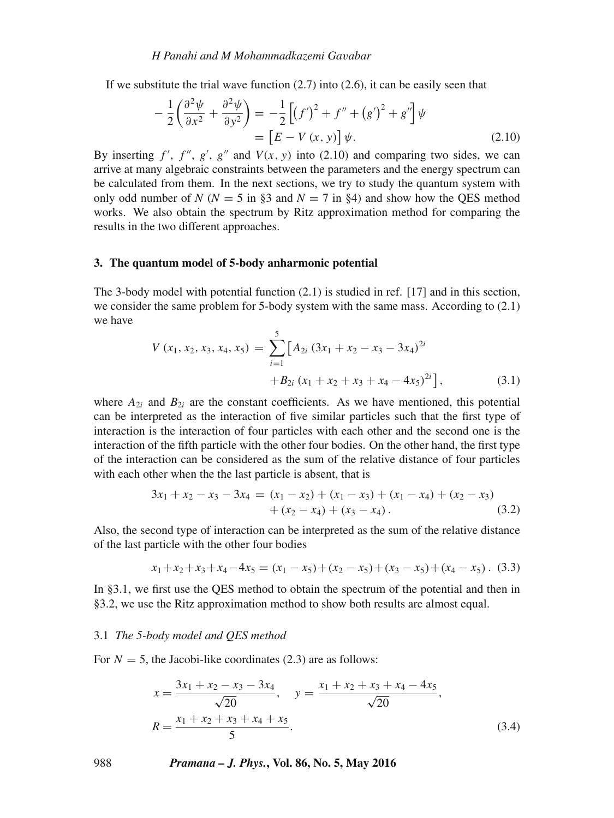If we substitute the trial wave function  $(2.7)$  into  $(2.6)$ , it can be easily seen that

$$
-\frac{1}{2}\left(\frac{\partial^2\psi}{\partial x^2} + \frac{\partial^2\psi}{\partial y^2}\right) = -\frac{1}{2}\left[\left(f'\right)^2 + f'' + \left(g'\right)^2 + g''\right]\psi
$$
  
=  $\left[E - V(x, y)\right]\psi$ . (2.10)

By inserting  $f'$ ,  $f''$ ,  $g'$ ,  $g''$  and  $V(x, y)$  into (2.10) and comparing two sides, we can<br>arrive at many algebraic constraints between the parameters and the energy spectrum can arrive at many algebraic constraints between the parameters and the energy spectrum can be calculated from them. In the next sections, we try to study the quantum system with only odd number of *N* ( $N = 5$  in §3 and  $N = 7$  in §4) and show how the OES method works. We also obtain the spectrum by Ritz approximation method for comparing the results in the two different approaches.

## **3. The quantum model of 5-body anharmonic potential**

The 3-body model with potential function (2.1) is studied in ref. [17] and in this section, we consider the same problem for 5-body system with the same mass. According to (2.1) we have

$$
V(x_1, x_2, x_3, x_4, x_5) = \sum_{i=1}^{5} \left[ A_{2i} (3x_1 + x_2 - x_3 - 3x_4)^{2i} + B_{2i} (x_1 + x_2 + x_3 + x_4 - 4x_5)^{2i} \right],
$$
\n(3.1)

where  $A_{2i}$  and  $B_{2i}$  are the constant coefficients. As we have mentioned, this potential can be interpreted as the interaction of five similar particles such that the first type of interaction is the interaction of four particles with each other and the second one is the interaction of the fifth particle with the other four bodies. On the other hand, the first type of the interaction can be considered as the sum of the relative distance of four particles with each other when the the last particle is absent, that is

$$
3x_1 + x_2 - x_3 - 3x_4 = (x_1 - x_2) + (x_1 - x_3) + (x_1 - x_4) + (x_2 - x_3) + (x_2 - x_4) + (x_3 - x_4).
$$
\n(3.2)

Also, the second type of interaction can be interpreted as the sum of the relative distance of the last particle with the other four bodies

$$
x_1 + x_2 + x_3 + x_4 - 4x_5 = (x_1 - x_5) + (x_2 - x_5) + (x_3 - x_5) + (x_4 - x_5). \tag{3.3}
$$

In §3.1, we first use the QES method to obtain the spectrum of the potential and then in §3.2, we use the Ritz approximation method to show both results are almost equal.

## 3.1 *The 5-body model and QES method*

For  $N = 5$ , the Jacobi-like coordinates (2.3) are as follows:

$$
x = \frac{3x_1 + x_2 - x_3 - 3x_4}{\sqrt{20}}, \quad y = \frac{x_1 + x_2 + x_3 + x_4 - 4x_5}{\sqrt{20}},
$$
  

$$
R = \frac{x_1 + x_2 + x_3 + x_4 + x_5}{5}.
$$
 (3.4)

988 *Pramana – J. Phys.***, Vol. 86, No. 5, May 2016**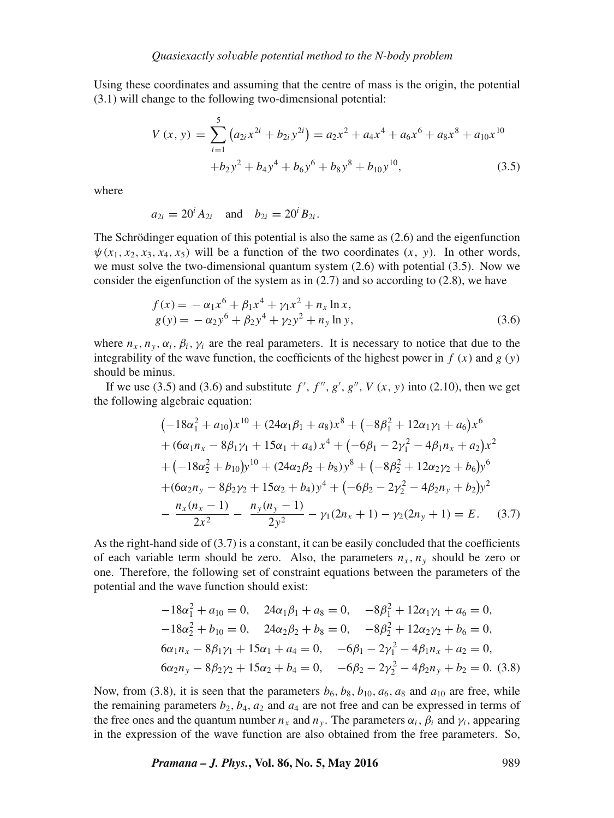Using these coordinates and assuming that the centre of mass is the origin, the potential (3.1) will change to the following two-dimensional potential:

$$
V(x, y) = \sum_{i=1}^{5} (a_{2i}x^{2i} + b_{2i}y^{2i}) = a_2x^2 + a_4x^4 + a_6x^6 + a_8x^8 + a_{10}x^{10}
$$
  
+ $b_2y^2 + b_4y^4 + b_6y^6 + b_8y^8 + b_{10}y^{10}$ , (3.5)

where

 $a_{2i} = 20^i A_{2i}$  and  $b_{2i} = 20^i B_{2i}$ .

The Schrödinger equation of this potential is also the same as (2.6) and the eigenfunction  $\psi(x_1, x_2, x_3, x_4, x_5)$  will be a function of the two coordinates  $(x, y)$ . In other words, we must solve the two-dimensional quantum system  $(2.6)$  with potential  $(3.5)$ . Now we consider the eigenfunction of the system as in  $(2.7)$  and so according to  $(2.8)$ , we have

$$
f(x) = -\alpha_1 x^6 + \beta_1 x^4 + \gamma_1 x^2 + n_x \ln x,
$$
  
\n
$$
g(y) = -\alpha_2 y^6 + \beta_2 y^4 + \gamma_2 y^2 + n_y \ln y,
$$
\n(3.6)

where  $n_x, n_y, \alpha_i, \beta_i, \gamma_i$  are the real parameters. It is necessary to notice that due to the integrability of the wave function, the coefficients of the highest power in  $f(x)$  and  $g(y)$ should be minus.

If we use (3.5) and (3.6) and substitute  $f', f'', g', g'', V(x, y)$  into (2.10), then we get<br>be following algebraic equation: the following algebraic equation:

$$
(-18\alpha_1^2 + a_{10})x^{10} + (24\alpha_1\beta_1 + a_8)x^8 + (-8\beta_1^2 + 12\alpha_1\gamma_1 + a_6)x^6
$$
  
+ 
$$
(6\alpha_1n_x - 8\beta_1\gamma_1 + 15\alpha_1 + a_4)x^4 + (-6\beta_1 - 2\gamma_1^2 - 4\beta_1n_x + a_2)x^2
$$
  
+ 
$$
(-18\alpha_2^2 + b_{10})y^{10} + (24\alpha_2\beta_2 + b_8)y^8 + (-8\beta_2^2 + 12\alpha_2\gamma_2 + b_6)y^6
$$
  
+ 
$$
(6\alpha_2n_y - 8\beta_2\gamma_2 + 15\alpha_2 + b_4)y^4 + (-6\beta_2 - 2\gamma_2^2 - 4\beta_2n_y + b_2)y^2
$$
  
- 
$$
\frac{n_x(n_x - 1)}{2x^2} - \frac{n_y(n_y - 1)}{2y^2} - \gamma_1(2n_x + 1) - \gamma_2(2n_y + 1) = E.
$$
 (3.7)

As the right-hand side of  $(3.7)$  is a constant, it can be easily concluded that the coefficients of each variable term should be zero. Also, the parameters  $n_x$ ,  $n_y$  should be zero or one. Therefore, the following set of constraint equations between the parameters of the potential and the wave function should exist:

$$
-18\alpha_1^2 + a_{10} = 0, \quad 24\alpha_1\beta_1 + a_8 = 0, \quad -8\beta_1^2 + 12\alpha_1\gamma_1 + a_6 = 0,
$$
  

$$
-18\alpha_2^2 + b_{10} = 0, \quad 24\alpha_2\beta_2 + b_8 = 0, \quad -8\beta_2^2 + 12\alpha_2\gamma_2 + b_6 = 0,
$$
  

$$
6\alpha_1n_x - 8\beta_1\gamma_1 + 15\alpha_1 + a_4 = 0, \quad -6\beta_1 - 2\gamma_1^2 - 4\beta_1n_x + a_2 = 0,
$$
  

$$
6\alpha_2n_y - 8\beta_2\gamma_2 + 15\alpha_2 + b_4 = 0, \quad -6\beta_2 - 2\gamma_2^2 - 4\beta_2n_y + b_2 = 0.
$$
 (3.8)

Now, from (3.8), it is seen that the parameters  $b_6$ ,  $b_8$ ,  $b_{10}$ ,  $a_6$ ,  $a_8$  and  $a_{10}$  are free, while the remaining parameters  $b_2$ ,  $b_4$ ,  $a_2$  and  $a_4$  are not free and can be expressed in terms of the free ones and the quantum number  $n_x$  and  $n_y$ . The parameters  $\alpha_i$ ,  $\beta_i$  and  $\gamma_i$ , appearing in the expression of the wave function are also obtained from the free parameters. So,

*Pramana – J. Phys.***, Vol. 86, No. 5, May 2016** 989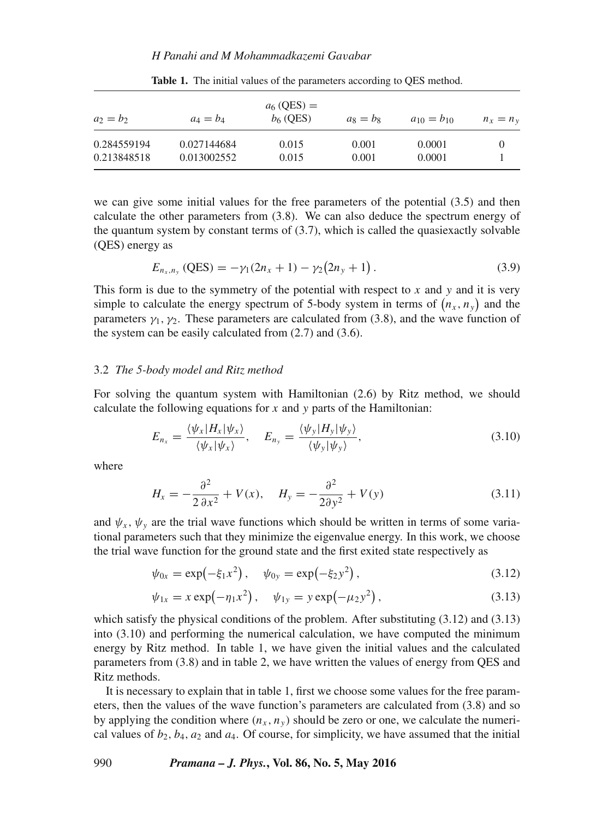## *H Panahi and M Mohammadkazemi Ga*v*abar*

| $a_2 = b_2$ | $a_4 = b_4$ | $a_6$ (QES) =<br>$b6$ (QES) | $a_8 = b_8$ | $a_{10} = b_{10}$ | $n_x = n_v$ |
|-------------|-------------|-----------------------------|-------------|-------------------|-------------|
| 0.284559194 | 0.027144684 | 0.015                       | 0.001       | 0.0001            |             |
| 0.213848518 | 0.013002552 | 0.015                       | 0.001       | 0.0001            |             |

**Table 1.** The initial values of the parameters according to QES method.

we can give some initial values for the free parameters of the potential (3.5) and then calculate the other parameters from (3.8). We can also deduce the spectrum energy of the quantum system by constant terms of  $(3.7)$ , which is called the quasiexactly solvable (QES) energy as

$$
E_{n_x,n_y} \left( \text{QES} \right) = -\gamma_1 (2n_x + 1) - \gamma_2 (2n_y + 1) \,. \tag{3.9}
$$

This form is due to the symmetry of the potential with respect to  $x$  and  $y$  and it is very simple to calculate the energy spectrum of 5-body system in terms of  $(n_x, n_y)$  and the parameters  $\gamma_1$ ,  $\gamma_2$ . These parameters are calculated from (3.8), and the wave function of the system can be easily calculated from (2.7) and (3.6) the system can be easily calculated from (2.7) and (3.6).

#### 3.2 *The 5-body model and Ritz method*

For solving the quantum system with Hamiltonian (2.6) by Ritz method, we should calculate the following equations for  $x$  and  $y$  parts of the Hamiltonian:

$$
E_{n_x} = \frac{\langle \psi_x | H_x | \psi_x \rangle}{\langle \psi_x | \psi_x \rangle}, \quad E_{n_y} = \frac{\langle \psi_y | H_y | \psi_y \rangle}{\langle \psi_y | \psi_y \rangle}, \tag{3.10}
$$

where

$$
H_x = -\frac{\partial^2}{2\,\partial x^2} + V(x), \quad H_y = -\frac{\partial^2}{2\partial y^2} + V(y) \tag{3.11}
$$

and  $\psi_x$ ,  $\psi_y$  are the trial wave functions which should be written in terms of some variational parameters such that they minimize the eigenvalue energy. In this work, we choose the trial wave function for the ground state and the first exited state respectively as

$$
\psi_{0x} = \exp(-\xi_1 x^2), \quad \psi_{0y} = \exp(-\xi_2 y^2), \tag{3.12}
$$

$$
\psi_{1x} = x \exp(-\eta_1 x^2), \quad \psi_{1y} = y \exp(-\mu_2 y^2), \tag{3.13}
$$

which satisfy the physical conditions of the problem. After substituting (3.12) and (3.13) into (3.10) and performing the numerical calculation, we have computed the minimum energy by Ritz method. In table 1, we have given the initial values and the calculated parameters from (3.8) and in table 2, we have written the values of energy from QES and Ritz methods.

It is necessary to explain that in table 1, first we choose some values for the free parameters, then the values of the wave function's parameters are calculated from (3.8) and so by applying the condition where  $(n_x, n_y)$  should be zero or one, we calculate the numerical values of  $b_2$ ,  $b_4$ ,  $a_2$  and  $a_4$ . Of course, for simplicity, we have assumed that the initial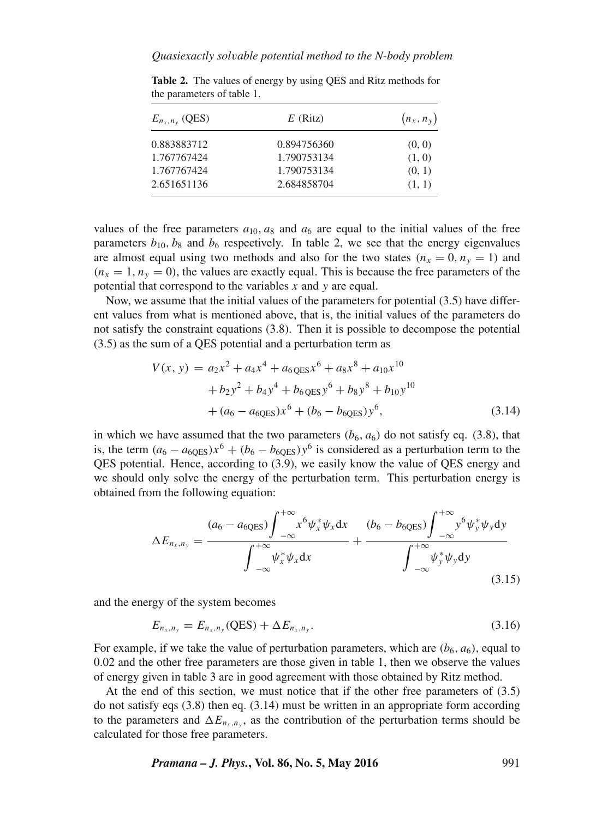| $E_{n_x,n_y}$ (QES) | $E$ (Ritz)  | $(n_x, n_y)$ |  |
|---------------------|-------------|--------------|--|
| 0.883883712         | 0.894756360 | (0, 0)       |  |
| 1.767767424         | 1.790753134 | (1, 0)       |  |
| 1.767767424         | 1.790753134 | (0, 1)       |  |
| 2.651651136         | 2.684858704 | (1, 1)       |  |
|                     |             |              |  |

**Table 2.** The values of energy by using QES and Ritz methods for the parameters of table 1.

values of the free parameters  $a_{10}$ ,  $a_8$  and  $a_6$  are equal to the initial values of the free parameters  $b_{10}$ ,  $b_8$  and  $b_6$  respectively. In table 2, we see that the energy eigenvalues are almost equal using two methods and also for the two states  $(n_x = 0, n_y = 1)$  and  $(n_x = 1, n_y = 0)$ , the values are exactly equal. This is because the free parameters of the potential that correspond to the variables  $x$  and  $y$  are equal.

Now, we assume that the initial values of the parameters for potential (3.5) have different values from what is mentioned above, that is, the initial values of the parameters do not satisfy the constraint equations (3.8). Then it is possible to decompose the potential (3.5) as the sum of a QES potential and a perturbation term as

$$
V(x, y) = a_2x^2 + a_4x^4 + a_6 \cos x^6 + a_8x^8 + a_{10}x^{10}
$$
  
+  $b_2y^2 + b_4y^4 + b_6 \cos y^6 + b_8y^8 + b_{10}y^{10}$   
+  $(a_6 - a_{60ES})x^6 + (b_6 - b_{60ES})y^6,$  (3.14)

in which we have assumed that the two parameters  $(b<sub>6</sub>, a<sub>6</sub>)$  do not satisfy eq. (3.8), that is, the term  $(a_6 - a_{60\text{ES}})x^6 + (b_6 - b_{60\text{ES}})y^6$  is considered as a perturbation term to the QES potential. Hence, according to (3.9), we easily know the value of QES energy and we should only solve the energy of the perturbation term. This perturbation energy is obtained from the following equation:

$$
\Delta E_{n_x,n_y} = \frac{(a_6 - a_{6QES}) \int_{-\infty}^{+\infty} x^6 \psi_x^* \psi_x dx}{\int_{-\infty}^{+\infty} \psi_x^* \psi_x dx} + \frac{(b_6 - b_{6QES}) \int_{-\infty}^{+\infty} y^6 \psi_y^* \psi_y dy}{\int_{-\infty}^{+\infty} \psi_y^* \psi_y dy}
$$
(3.15)

and the energy of the system becomes

$$
E_{n_x,n_y} = E_{n_x,n_y}(\text{QES}) + \Delta E_{n_x,n_y}.\tag{3.16}
$$

For example, if we take the value of perturbation parameters, which are  $(b_6, a_6)$ , equal to 0.02 and the other free parameters are those given in table 1, then we observe the values of energy given in table 3 are in good agreement with those obtained by Ritz method.

At the end of this section, we must notice that if the other free parameters of (3.5) do not satisfy eqs  $(3.8)$  then eq.  $(3.14)$  must be written in an appropriate form according to the parameters and  $\Delta E_{n_{x},n_{y}}$ , as the contribution of the perturbation terms should be calculated for those free parameters.

*Pramana – J. Phys.***, Vol. 86, No. 5, May 2016** 991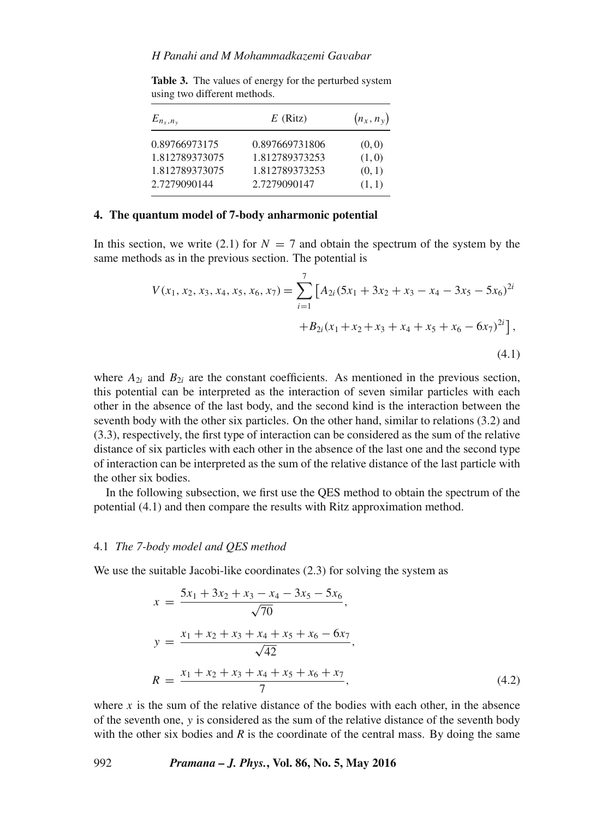| $E_{n_x,n_y}$  | $E$ (Ritz)     | $(n_x, n_y)$ |  |
|----------------|----------------|--------------|--|
| 0.89766973175  | 0.897669731806 | (0, 0)       |  |
| 1.812789373075 | 1.812789373253 | (1,0)        |  |
| 1.812789373075 | 1.812789373253 | (0, 1)       |  |
| 2.7279090144   | 2.7279090147   | (1, 1)       |  |

Table 3. The values of energy for the perturbed system using two different methods.

# **4. The quantum model of 7-body anharmonic potential**

In this section, we write (2.1) for  $N = 7$  and obtain the spectrum of the system by the same methods as in the previous section. The potential is

$$
V(x_1, x_2, x_3, x_4, x_5, x_6, x_7) = \sum_{i=1}^{7} \left[ A_{2i} (5x_1 + 3x_2 + x_3 - x_4 - 3x_5 - 5x_6)^{2i} + B_{2i} (x_1 + x_2 + x_3 + x_4 + x_5 + x_6 - 6x_7)^{2i} \right],
$$
\n(4.1)

where  $A_{2i}$  and  $B_{2i}$  are the constant coefficients. As mentioned in the previous section, this potential can be interpreted as the interaction of seven similar particles with each other in the absence of the last body, and the second kind is the interaction between the seventh body with the other six particles. On the other hand, similar to relations (3.2) and (3.3), respectively, the first type of interaction can be considered as the sum of the relative distance of six particles with each other in the absence of the last one and the second type of interaction can be interpreted as the sum of the relative distance of the last particle with the other six bodies.

In the following subsection, we first use the QES method to obtain the spectrum of the potential (4.1) and then compare the results with Ritz approximation method.

#### 4.1 *The 7-body model and QES method*

We use the suitable Jacobi-like coordinates (2.3) for solving the system as

$$
x = \frac{5x_1 + 3x_2 + x_3 - x_4 - 3x_5 - 5x_6}{\sqrt{70}},
$$
  
\n
$$
y = \frac{x_1 + x_2 + x_3 + x_4 + x_5 + x_6 - 6x_7}{\sqrt{42}},
$$
  
\n
$$
R = \frac{x_1 + x_2 + x_3 + x_4 + x_5 + x_6 + x_7}{7},
$$
\n(4.2)

where x is the sum of the relative distance of the bodies with each other, in the absence of the seventh one, y is considered as the sum of the relative distance of the seventh body with the other six bodies and  $R$  is the coordinate of the central mass. By doing the same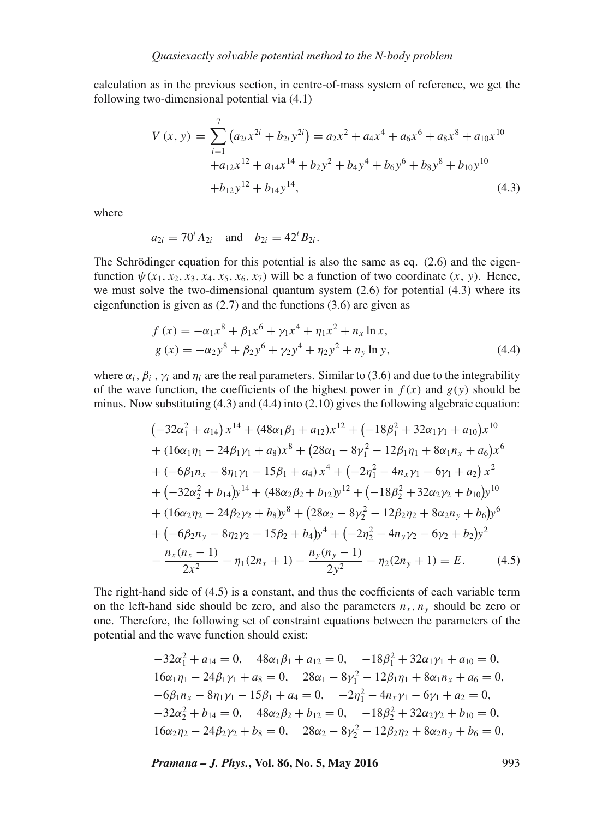calculation as in the previous section, in centre-of-mass system of reference, we get the following two-dimensional potential via (4.1)

$$
V(x, y) = \sum_{i=1}^{7} (a_{2i}x^{2i} + b_{2i}y^{2i}) = a_{2}x^{2} + a_{4}x^{4} + a_{6}x^{6} + a_{8}x^{8} + a_{10}x^{10} + a_{12}x^{12} + a_{14}x^{14} + b_{2}y^{2} + b_{4}y^{4} + b_{6}y^{6} + b_{8}y^{8} + b_{10}y^{10} + b_{12}y^{12} + b_{14}y^{14},
$$
\n(4.3)

where

$$
a_{2i} = 70^i A_{2i}
$$
 and  $b_{2i} = 42^i B_{2i}$ .

The Schrödinger equation for this potential is also the same as eq. (2.6) and the eigenfunction  $\psi(x_1, x_2, x_3, x_4, x_5, x_6, x_7)$  will be a function of two coordinate  $(x, y)$ . Hence, we must solve the two-dimensional quantum system (2.6) for potential (4.3) where its eigenfunction is given as (2.7) and the functions (3.6) are given as

$$
f(x) = -\alpha_1 x^8 + \beta_1 x^6 + \gamma_1 x^4 + \eta_1 x^2 + n_x \ln x,
$$
  
\n
$$
g(x) = -\alpha_2 y^8 + \beta_2 y^6 + \gamma_2 y^4 + \eta_2 y^2 + n_y \ln y,
$$
\n(4.4)

where  $\alpha_i$ ,  $\beta_i$ ,  $\gamma_i$  and  $\eta_i$  are the real parameters. Similar to (3.6) and due to the integrability of the wave function, the coefficients of the highest power in  $f(x)$  and  $g(y)$  should be minus. Now substituting  $(4.3)$  and  $(4.4)$  into  $(2.10)$  gives the following algebraic equation:

$$
(-32\alpha_1^2 + a_{14}) x^{14} + (48\alpha_1\beta_1 + a_{12}) x^{12} + (-18\beta_1^2 + 32\alpha_1\gamma_1 + a_{10}) x^{10}
$$
  
+ 
$$
(16\alpha_1\eta_1 - 24\beta_1\gamma_1 + a_8) x^8 + (28\alpha_1 - 8\gamma_1^2 - 12\beta_1\eta_1 + 8\alpha_1n_x + a_6) x^6
$$
  
+ 
$$
(-6\beta_1n_x - 8\eta_1\gamma_1 - 15\beta_1 + a_4) x^4 + (-2\eta_1^2 - 4n_x\gamma_1 - 6\gamma_1 + a_2) x^2
$$
  
+ 
$$
(-32\alpha_2^2 + b_{14}) y^{14} + (48\alpha_2\beta_2 + b_{12}) y^{12} + (-18\beta_2^2 + 32\alpha_2\gamma_2 + b_{10}) y^{10}
$$
  
+ 
$$
(16\alpha_2\eta_2 - 24\beta_2\gamma_2 + b_8) y^8 + (28\alpha_2 - 8\gamma_2^2 - 12\beta_2\eta_2 + 8\alpha_2n_y + b_6) y^6
$$
  
+ 
$$
(-6\beta_2n_y - 8\eta_2\gamma_2 - 15\beta_2 + b_4) y^4 + (-2\eta_2^2 - 4n_y\gamma_2 - 6\gamma_2 + b_2) y^2
$$
  
- 
$$
\frac{n_x(n_x - 1)}{2x^2} - \eta_1(2n_x + 1) - \frac{n_y(n_y - 1)}{2y^2} - \eta_2(2n_y + 1) = E.
$$
 (4.5)

The right-hand side of (4.5) is a constant, and thus the coefficients of each variable term on the left-hand side should be zero, and also the parameters  $n_x$ ,  $n_y$  should be zero or one. Therefore, the following set of constraint equations between the parameters of the potential and the wave function should exist:

$$
-32\alpha_1^2 + a_{14} = 0, \quad 48\alpha_1\beta_1 + a_{12} = 0, \quad -18\beta_1^2 + 32\alpha_1\gamma_1 + a_{10} = 0,
$$
  
\n
$$
16\alpha_1\eta_1 - 24\beta_1\gamma_1 + a_8 = 0, \quad 28\alpha_1 - 8\gamma_1^2 - 12\beta_1\eta_1 + 8\alpha_1n_x + a_6 = 0,
$$
  
\n
$$
-6\beta_1n_x - 8\eta_1\gamma_1 - 15\beta_1 + a_4 = 0, \quad -2\eta_1^2 - 4n_x\gamma_1 - 6\gamma_1 + a_2 = 0,
$$
  
\n
$$
-32\alpha_2^2 + b_{14} = 0, \quad 48\alpha_2\beta_2 + b_{12} = 0, \quad -18\beta_2^2 + 32\alpha_2\gamma_2 + b_{10} = 0,
$$
  
\n
$$
16\alpha_2\eta_2 - 24\beta_2\gamma_2 + b_8 = 0, \quad 28\alpha_2 - 8\gamma_2^2 - 12\beta_2\eta_2 + 8\alpha_2n_y + b_6 = 0,
$$

*Pramana – J. Phys.***, Vol. 86, No. 5, May 2016** 993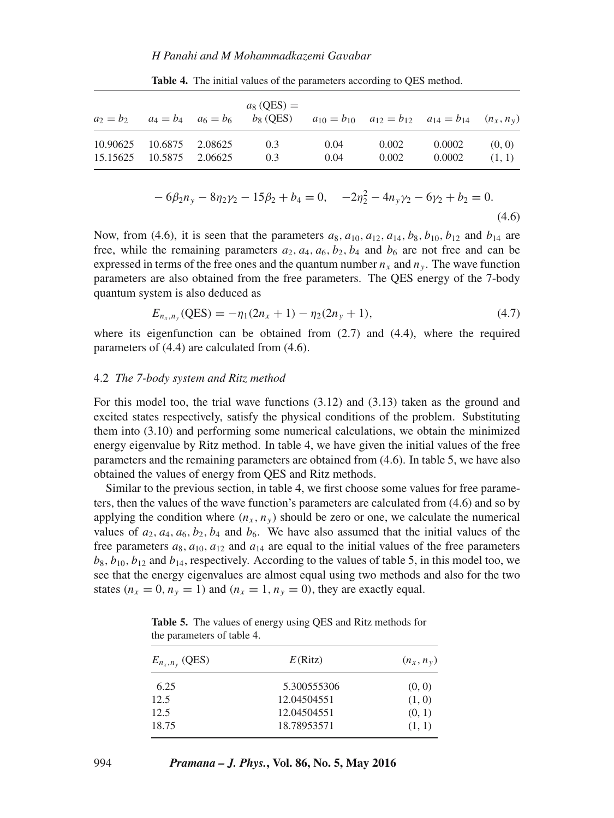| $a_2 = b_2$ $a_4 = b_4$ $a_6 = b_6$                  |  | $a_8$ (QES) =<br>$b_8$ (QES) $a_{10} = b_{10}$ $a_{12} = b_{12}$ $a_{14} = b_{14}$ $(n_x, n_y)$ |              |                |                  |                  |
|------------------------------------------------------|--|-------------------------------------------------------------------------------------------------|--------------|----------------|------------------|------------------|
| 10.90625 10.6875 2.08625<br>15.15625 10.5875 2.06625 |  | 0.3<br>0.3                                                                                      | 0.04<br>0.04 | 0.002<br>0.002 | 0.0002<br>0.0002 | (0, 0)<br>(1, 1) |

**Table 4.** The initial values of the parameters according to QES method.

$$
-6\beta_2 n_y - 8\eta_2 \gamma_2 - 15\beta_2 + b_4 = 0, \quad -2\eta_2^2 - 4n_y \gamma_2 - 6\gamma_2 + b_2 = 0.
$$
\n(4.6)

Now, from (4.6), it is seen that the parameters  $a_8$ ,  $a_{10}$ ,  $a_{12}$ ,  $a_{14}$ ,  $b_8$ ,  $b_{10}$ ,  $b_{12}$  and  $b_{14}$  are free, while the remaining parameters  $a_2$ ,  $a_4$ ,  $a_6$ ,  $b_2$ ,  $b_4$  and  $b_6$  are not free and can be expressed in terms of the free ones and the quantum number  $n_x$  and  $n_y$ . The wave function parameters are also obtained from the free parameters. The QES energy of the 7-body quantum system is also deduced as

$$
E_{n_x,n_y}(\text{QES}) = -\eta_1(2n_x+1) - \eta_2(2n_y+1),\tag{4.7}
$$

where its eigenfunction can be obtained from (2.7) and (4.4), where the required parameters of (4.4) are calculated from (4.6).

#### 4.2 *The 7-body system and Ritz method*

For this model too, the trial wave functions (3.12) and (3.13) taken as the ground and excited states respectively, satisfy the physical conditions of the problem. Substituting them into (3.10) and performing some numerical calculations, we obtain the minimized energy eigenvalue by Ritz method. In table 4, we have given the initial values of the free parameters and the remaining parameters are obtained from (4.6). In table 5, we have also obtained the values of energy from QES and Ritz methods.

Similar to the previous section, in table 4, we first choose some values for free parameters, then the values of the wave function's parameters are calculated from (4.6) and so by applying the condition where  $(n_x, n_y)$  should be zero or one, we calculate the numerical values of  $a_2$ ,  $a_4$ ,  $a_6$ ,  $b_2$ ,  $b_4$  and  $b_6$ . We have also assumed that the initial values of the free parameters  $a_8$ ,  $a_{10}$ ,  $a_{12}$  and  $a_{14}$  are equal to the initial values of the free parameters  $b_8$ ,  $b_{10}$ ,  $b_{12}$  and  $b_{14}$ , respectively. According to the values of table 5, in this model too, we see that the energy eigenvalues are almost equal using two methods and also for the two states  $(n_x = 0, n_y = 1)$  and  $(n_x = 1, n_y = 0)$ , they are exactly equal.

| $E_{n_x,n_y}$ (QES) | E(Ritz)     | $(n_x, n_y)$ |  |
|---------------------|-------------|--------------|--|
| 6.25                | 5.300555306 | (0, 0)       |  |
| 12.5                | 12.04504551 | (1, 0)       |  |
| 12.5                | 12.04504551 | (0, 1)       |  |
| 18.75               | 18.78953571 | (1, 1)       |  |

**Table 5.** The values of energy using QES and Ritz methods for the parameters of table 4.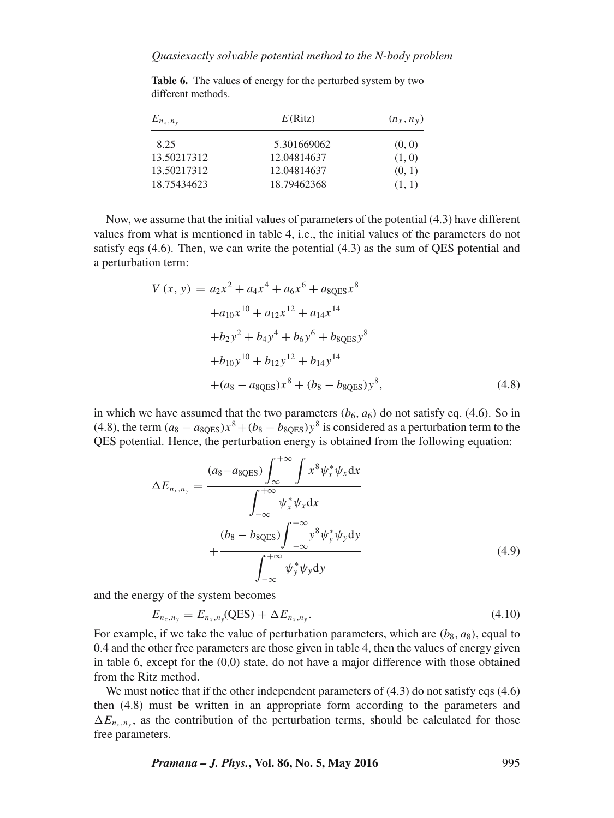| $E_{n_x,n_y}$ | E(Ritz)     | $(n_x, n_y)$ |  |
|---------------|-------------|--------------|--|
| 8.25          | 5.301669062 | (0, 0)       |  |
| 13.50217312   | 12.04814637 | (1, 0)       |  |
| 13.50217312   | 12.04814637 | (0, 1)       |  |
| 18.75434623   | 18.79462368 | (1, 1)       |  |

Table 6. The values of energy for the perturbed system by two different methods.

Now, we assume that the initial values of parameters of the potential (4.3) have different values from what is mentioned in table 4, i.e., the initial values of the parameters do not satisfy eqs (4.6). Then, we can write the potential (4.3) as the sum of QES potential and a perturbation term:

$$
V(x, y) = a_2x^2 + a_4x^4 + a_6x^6 + a_{8QES}x^8
$$
  
+ $a_{10}x^{10} + a_{12}x^{12} + a_{14}x^{14}$   
+ $b_2y^2 + b_4y^4 + b_6y^6 + b_{8QES}y^8$   
+ $b_{10}y^{10} + b_{12}y^{12} + b_{14}y^{14}$   
+ $(a_8 - a_{8QES})x^8 + (b_8 - b_{8QES})y^8,$  (4.8)

in which we have assumed that the two parameters  $(b_6, a_6)$  do not satisfy eq. (4.6). So in (4.8), the term  $(a_8 - a_{80ES})x^8 + (b_8 - b_{80ES})y^8$  is considered as a perturbation term to the QES potential. Hence, the perturbation energy is obtained from the following equation:

$$
\Delta E_{n_x, n_y} = \frac{(a_8 - a_{8QES}) \int_{\infty}^{+\infty} \int x^8 \psi_x^* \psi_x dx}{\int_{-\infty}^{+\infty} \psi_x^* \psi_x dx} + \frac{(b_8 - b_{8QES}) \int_{-\infty}^{+\infty} y^8 \psi_y^* \psi_y dy}{\int_{-\infty}^{+\infty} \psi_y^* \psi_y dy}
$$
(4.9)

and the energy of the system becomes

$$
E_{n_x,n_y} = E_{n_x,n_y}(\text{QES}) + \Delta E_{n_x,n_y}.
$$
\n(4.10)

For example, if we take the value of perturbation parameters, which are  $(b_8, a_8)$ , equal to  $0.4$  and the other free parameters are those given in table 4, then the values of energy given 0.4 and the other free parameters are those given in table 4, then the values of energy given in table 6, except for the (0,0) state, do not have a major difference with those obtained from the Ritz method.

We must notice that if the other independent parameters of  $(4.3)$  do not satisfy eqs  $(4.6)$ then (4.8) must be written in an appropriate form according to the parameters and  $\Delta E_{n_x,n_y}$ , as the contribution of the perturbation terms, should be calculated for those free parameters.